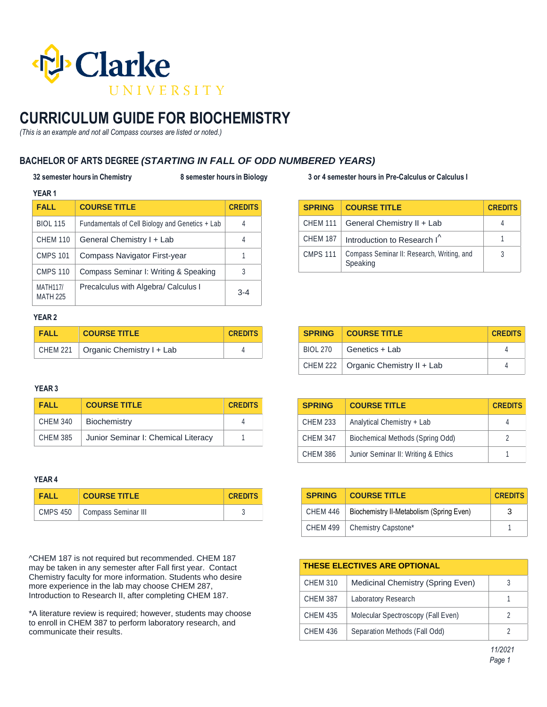

# **CURRICULUM GUIDE FOR BIOCHEMISTRY**

*(This is an example and not all Compass courses are listed or noted.)*

## **BACHELOR OF ARTS DEGREE** *(STARTING IN FALL OF ODD NUMBERED YEARS)*

### **32 semester hours in Chemistry 8 semester hours in Biology 3 or 4 semester hours in Pre-Calculus or Calculus I**

| 1 LAN 1                            |                                                 |                |
|------------------------------------|-------------------------------------------------|----------------|
| <b>FALL</b>                        | <b>COURSE TITLE</b>                             | <b>CREDITS</b> |
| <b>BIOL 115</b>                    | Fundamentals of Cell Biology and Genetics + Lab |                |
| <b>CHEM 110</b>                    | General Chemistry I + Lab                       |                |
| <b>CMPS 101</b>                    | <b>Compass Navigator First-year</b>             |                |
| <b>CMPS 110</b>                    | Compass Seminar I: Writing & Speaking           |                |
| <b>MATH117/</b><br><b>MATH 225</b> | Precalculus with Algebra/ Calculus I            | $3 - 4$        |

| <b>SPRING</b>   | <b>COURSE TITLE</b>                                    | <b>CREDITS</b> |
|-----------------|--------------------------------------------------------|----------------|
| <b>CHEM 111</b> | General Chemistry II + Lab                             |                |
| <b>CHEM 187</b> | Introduction to Research I <sup>^</sup>                |                |
| <b>CMPS 111</b> | Compass Seminar II: Research, Writing, and<br>Speaking | 3              |

### **YEAR 2**

**YEAR 1**

| <b>FALL</b> | <b>COURSE TITLE</b>                  | <b>CREDITS</b> |
|-------------|--------------------------------------|----------------|
|             | CHEM 221   Organic Chemistry I + Lab |                |

### **YEAR 3**

| <b>FALL</b>     | <b>COURSE TITLE</b>                 | <b>CREDITS</b> |
|-----------------|-------------------------------------|----------------|
| <b>CHEM 340</b> | Biochemistry                        |                |
| <b>CHEM 385</b> | Junior Seminar I: Chemical Literacy |                |

### **YEAR 4**

| <b>FALL</b> | <b>COURSE TITLE</b>            | <b>CREDITS</b> |
|-------------|--------------------------------|----------------|
|             | CMPS 450   Compass Seminar III |                |

^CHEM 187 is not required but recommended. CHEM 187 may be taken in any semester after Fall first year. Contact Chemistry faculty for more information. Students who desire more experience in the lab may choose CHEM 287, Introduction to Research II, after completing CHEM 187.

\*A literature review is required; however, students may choose to enroll in CHEM 387 to perform laboratory research, and communicate their results.

| <b>SPRING</b>   | <b>COURSE TITLE</b>                 | <b>CREDITS</b> |
|-----------------|-------------------------------------|----------------|
| <b>CHEM 233</b> | Analytical Chemistry + Lab          |                |
| <b>CHEM 347</b> | Biochemical Methods (Spring Odd)    |                |
| <b>CHEM 386</b> | Junior Seminar II: Writing & Ethics |                |

**SPRING COURSE TITLE CREDITS**  $BIOL 270$  Genetics + Lab 4 CHEM 222  $\sqrt{ }$  Organic Chemistry II + Lab  $\sqrt{ }$  4

| <b>SPRING</b>   | <b>COURSE TITLE</b>                      | <b>CREDITS</b> |
|-----------------|------------------------------------------|----------------|
| CHEM 446        | Biochemistry II-Metabolism (Spring Even) |                |
| <b>CHEM 499</b> | Chemistry Capstone*                      |                |

| <b>THESE ELECTIVES ARE OPTIONAL</b> |                                    |  |
|-------------------------------------|------------------------------------|--|
| <b>CHEM 310</b>                     | Medicinal Chemistry (Spring Even)  |  |
| <b>CHEM 387</b>                     | Laboratory Research                |  |
| <b>CHEM 435</b>                     | Molecular Spectroscopy (Fall Even) |  |
| <b>CHEM 436</b>                     | Separation Methods (Fall Odd)      |  |